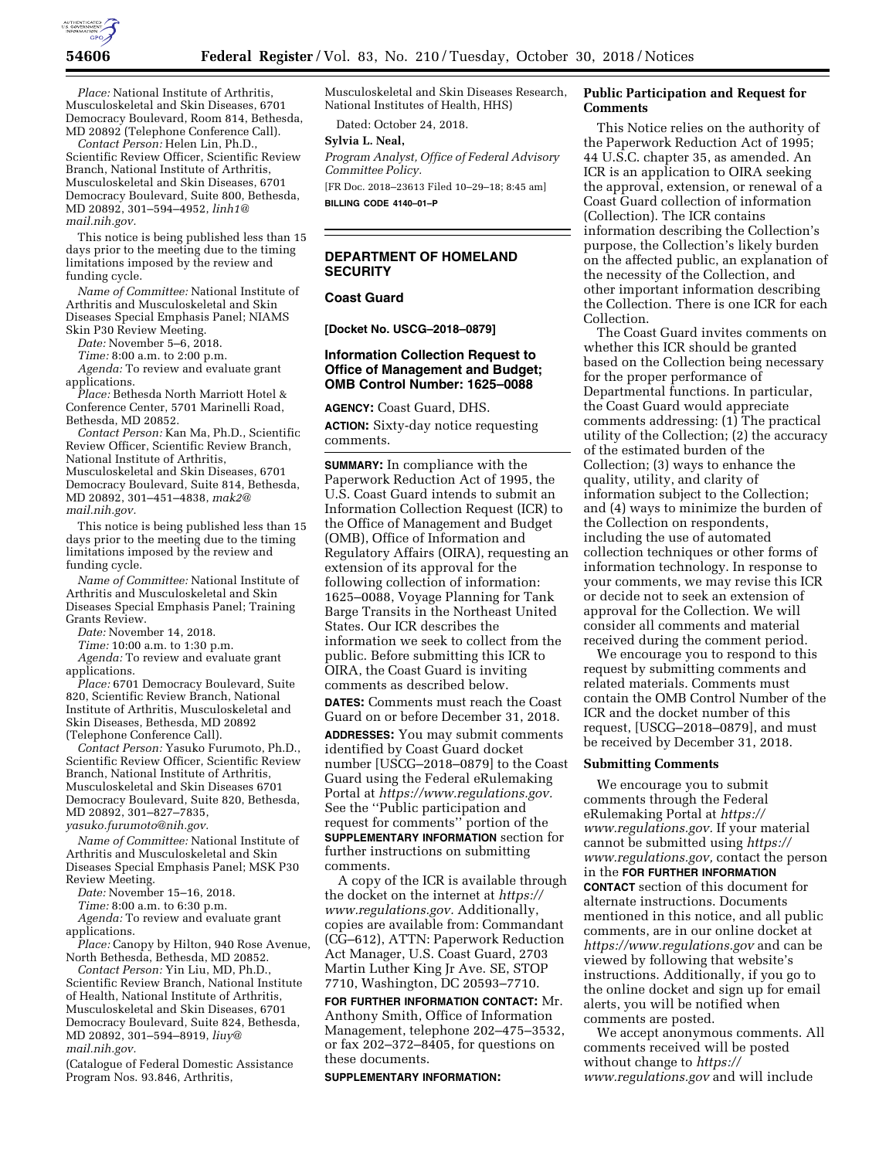

*Place:* National Institute of Arthritis, Musculoskeletal and Skin Diseases, 6701 Democracy Boulevard, Room 814, Bethesda, MD 20892 (Telephone Conference Call).

*Contact Person:* Helen Lin, Ph.D., Scientific Review Officer, Scientific Review Branch, National Institute of Arthritis, Musculoskeletal and Skin Diseases, 6701 Democracy Boulevard, Suite 800, Bethesda, MD 20892, 301–594–4952, *[linh1@](mailto:linh1@mail.nih.gov) [mail.nih.gov.](mailto:linh1@mail.nih.gov)* 

This notice is being published less than 15 days prior to the meeting due to the timing limitations imposed by the review and funding cycle.

*Name of Committee:* National Institute of Arthritis and Musculoskeletal and Skin Diseases Special Emphasis Panel; NIAMS Skin P30 Review Meeting.

*Date:* November 5–6, 2018.

*Time:* 8:00 a.m. to 2:00 p.m.

*Agenda:* To review and evaluate grant applications.

*Place:* Bethesda North Marriott Hotel & Conference Center, 5701 Marinelli Road, Bethesda, MD 20852.

*Contact Person:* Kan Ma, Ph.D., Scientific Review Officer, Scientific Review Branch, National Institute of Arthritis, Musculoskeletal and Skin Diseases, 6701 Democracy Boulevard, Suite 814, Bethesda, MD 20892, 301–451–4838, *[mak2@](mailto:mak2@mail.nih.gov) [mail.nih.gov.](mailto:mak2@mail.nih.gov)* 

This notice is being published less than 15 days prior to the meeting due to the timing limitations imposed by the review and funding cycle.

*Name of Committee:* National Institute of Arthritis and Musculoskeletal and Skin Diseases Special Emphasis Panel; Training Grants Review.

*Date:* November 14, 2018.

*Time:* 10:00 a.m. to 1:30 p.m.

*Agenda:* To review and evaluate grant applications.

*Place:* 6701 Democracy Boulevard, Suite 820, Scientific Review Branch, National Institute of Arthritis, Musculoskeletal and Skin Diseases, Bethesda, MD 20892 (Telephone Conference Call).

*Contact Person:* Yasuko Furumoto, Ph.D., Scientific Review Officer, Scientific Review Branch, National Institute of Arthritis, Musculoskeletal and Skin Diseases 6701 Democracy Boulevard, Suite 820, Bethesda, MD 20892, 301–827–7835,

*[yasuko.furumoto@nih.gov.](mailto:yasuko.furumoto@nih.gov)* 

*Name of Committee:* National Institute of Arthritis and Musculoskeletal and Skin Diseases Special Emphasis Panel; MSK P30 Review Meeting.

*Date:* November 15–16, 2018.

*Time:* 8:00 a.m. to 6:30 p.m.

*Agenda:* To review and evaluate grant applications.

*Place:* Canopy by Hilton, 940 Rose Avenue, North Bethesda, Bethesda, MD 20852.

*Contact Person:* Yin Liu, MD, Ph.D., Scientific Review Branch, National Institute of Health, National Institute of Arthritis, Musculoskeletal and Skin Diseases, 6701 Democracy Boulevard, Suite 824, Bethesda, MD 20892, 301–594–8919, *[liuy@](mailto:liuy@mail.nih.gov) [mail.nih.gov.](mailto:liuy@mail.nih.gov)* 

(Catalogue of Federal Domestic Assistance Program Nos. 93.846, Arthritis,

Musculoskeletal and Skin Diseases Research, National Institutes of Health, HHS)

Dated: October 24, 2018.

#### **Sylvia L. Neal,**

*Program Analyst, Office of Federal Advisory Committee Policy.*  [FR Doc. 2018–23613 Filed 10–29–18; 8:45 am] **BILLING CODE 4140–01–P** 

# **DEPARTMENT OF HOMELAND SECURITY**

# **Coast Guard**

**[Docket No. USCG–2018–0879]** 

# **Information Collection Request to Office of Management and Budget; OMB Control Number: 1625–0088**

**AGENCY:** Coast Guard, DHS.

**ACTION:** Sixty-day notice requesting comments.

**SUMMARY:** In compliance with the Paperwork Reduction Act of 1995, the U.S. Coast Guard intends to submit an Information Collection Request (ICR) to the Office of Management and Budget (OMB), Office of Information and Regulatory Affairs (OIRA), requesting an extension of its approval for the following collection of information: 1625–0088, Voyage Planning for Tank Barge Transits in the Northeast United States. Our ICR describes the information we seek to collect from the public. Before submitting this ICR to OIRA, the Coast Guard is inviting comments as described below.

**DATES:** Comments must reach the Coast Guard on or before December 31, 2018.

**ADDRESSES:** You may submit comments identified by Coast Guard docket number [USCG–2018–0879] to the Coast Guard using the Federal eRulemaking Portal at *[https://www.regulations.gov.](https://www.regulations.gov)*  See the ''Public participation and request for comments'' portion of the **SUPPLEMENTARY INFORMATION** section for further instructions on submitting comments.

A copy of the ICR is available through the docket on the internet at *[https://](https://www.regulations.gov) [www.regulations.gov.](https://www.regulations.gov)* Additionally, copies are available from: Commandant (CG–612), ATTN: Paperwork Reduction Act Manager, U.S. Coast Guard, 2703 Martin Luther King Jr Ave. SE, STOP 7710, Washington, DC 20593–7710.

**FOR FURTHER INFORMATION CONTACT:** Mr. Anthony Smith, Office of Information Management, telephone 202–475–3532, or fax 202–372–8405, for questions on these documents.

#### **SUPPLEMENTARY INFORMATION:**

# **Public Participation and Request for Comments**

This Notice relies on the authority of the Paperwork Reduction Act of 1995; 44 U.S.C. chapter 35, as amended. An ICR is an application to OIRA seeking the approval, extension, or renewal of a Coast Guard collection of information (Collection). The ICR contains information describing the Collection's purpose, the Collection's likely burden on the affected public, an explanation of the necessity of the Collection, and other important information describing the Collection. There is one ICR for each Collection.

The Coast Guard invites comments on whether this ICR should be granted based on the Collection being necessary for the proper performance of Departmental functions. In particular, the Coast Guard would appreciate comments addressing: (1) The practical utility of the Collection; (2) the accuracy of the estimated burden of the Collection; (3) ways to enhance the quality, utility, and clarity of information subject to the Collection; and (4) ways to minimize the burden of the Collection on respondents, including the use of automated collection techniques or other forms of information technology. In response to your comments, we may revise this ICR or decide not to seek an extension of approval for the Collection. We will consider all comments and material received during the comment period.

We encourage you to respond to this request by submitting comments and related materials. Comments must contain the OMB Control Number of the ICR and the docket number of this request, [USCG–2018–0879], and must be received by December 31, 2018.

#### **Submitting Comments**

We encourage you to submit comments through the Federal eRulemaking Portal at *[https://](https://www.regulations.gov) [www.regulations.gov.](https://www.regulations.gov)* If your material cannot be submitted using *[https://](https://www.regulations.gov) [www.regulations.gov,](https://www.regulations.gov)* contact the person in the **FOR FURTHER INFORMATION CONTACT** section of this document for alternate instructions. Documents mentioned in this notice, and all public comments, are in our online docket at *<https://www.regulations.gov>* and can be viewed by following that website's instructions. Additionally, if you go to the online docket and sign up for email alerts, you will be notified when comments are posted.

We accept anonymous comments. All comments received will be posted without change to *[https://](https://www.regulations.gov) [www.regulations.gov](https://www.regulations.gov)* and will include